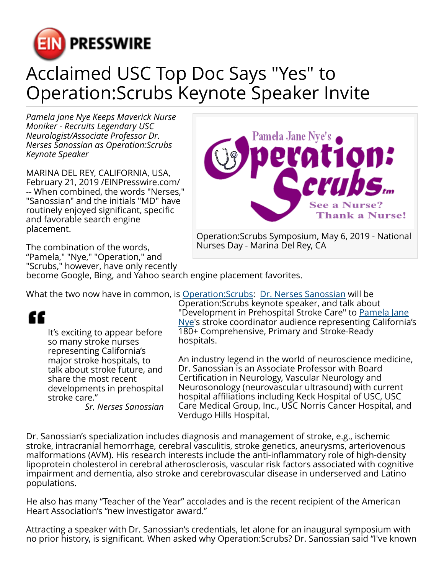

## Acclaimed USC Top Doc Says "Yes" to Operation:Scrubs Keynote Speaker Invite

*Pamela Jane Nye Keeps Maverick Nurse Moniker - Recruits Legendary USC Neurologist/Associate Professor Dr. Nerses Sanossian as Operation:Scrubs Keynote Speaker*

MARINA DEL REY, CALIFORNIA, USA, February 21, 2019 /[EINPresswire.com](http://www.einpresswire.com)/ -- When combined, the words "Nerses," "Sanossian" and the initials "MD" have routinely enjoyed significant, specific and favorable search engine placement.

The combination of the words, "Pamela," "Nye," "Operation," and "Scrubs," however, have only recently



Operation:Scrubs Symposium, May 6, 2019 - National Nurses Day - Marina Del Rey, CA

become Google, Bing, and Yahoo search engine placement favorites.

What the two now have in common, is Operation: Scrubs: [Dr. Nerses Sanossian](https://www.operationscrubs.homestead.com/Sanossian_CV_2019.pdf) will be

## "

It's exciting to appear before so many stroke nurses representing California's major stroke hospitals, to talk about stroke future, and share the most recent developments in prehospital stroke care."

*Sr. Nerses Sanossian*

Operation:Scrubs keynote speaker, and talk about "Development in Prehospital Stroke Care" to [Pamela Jane](https://www.operationscrubs.org/About-Us.html) [Nye](https://www.operationscrubs.org/About-Us.html)'s stroke coordinator audience representing California's 180+ Comprehensive, Primary and Stroke-Ready hospitals.

An industry legend in the world of neuroscience medicine, Dr. Sanossian is an Associate Professor with Board Certification in Neurology, Vascular Neurology and Neurosonology (neurovascular ultrasound) with current hospital affiliations including Keck Hospital of USC, USC Care Medical Group, Inc., USC Norris Cancer Hospital, and Verdugo Hills Hospital.

Dr. Sanossian's specialization includes diagnosis and management of stroke, e.g., ischemic stroke, intracranial hemorrhage, cerebral vasculitis, stroke genetics, aneurysms, arteriovenous malformations (AVM). His research interests include the anti-inflammatory role of high-density lipoprotein cholesterol in cerebral atherosclerosis, vascular risk factors associated with cognitive impairment and dementia, also stroke and cerebrovascular disease in underserved and Latino populations.

He also has many "Teacher of the Year" accolades and is the recent recipient of the American Heart Association's "new investigator award."

Attracting a speaker with Dr. Sanossian's credentials, let alone for an inaugural symposium with no prior history, is significant. When asked why Operation:Scrubs? Dr. Sanossian said "I've known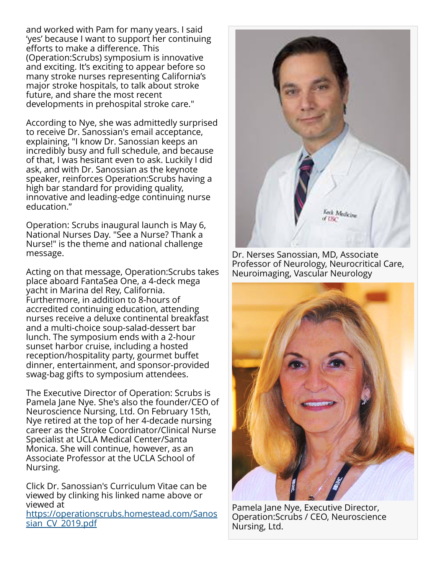and worked with Pam for many years. I said 'yes' because I want to support her continuing efforts to make a difference. This (Operation:Scrubs) symposium is innovative and exciting. It's exciting to appear before so many stroke nurses representing California's major stroke hospitals, to talk about stroke future, and share the most recent developments in prehospital stroke care."

According to Nye, she was admittedly surprised to receive Dr. Sanossian's email acceptance, explaining, "I know Dr. Sanossian keeps an incredibly busy and full schedule, and because of that, I was hesitant even to ask. Luckily I did ask, and with Dr. Sanossian as the keynote speaker, reinforces Operation:Scrubs having a high bar standard for providing quality, innovative and leading-edge continuing nurse education."

Operation: Scrubs inaugural launch is May 6, National Nurses Day. "See a Nurse? Thank a Nurse!" is the theme and national challenge message.

Acting on that message, Operation:Scrubs takes place aboard FantaSea One, a 4-deck mega yacht in Marina del Rey, California. Furthermore, in addition to 8-hours of accredited continuing education, attending nurses receive a deluxe continental breakfast and a multi-choice soup-salad-dessert bar lunch. The symposium ends with a 2-hour sunset harbor cruise, including a hosted reception/hospitality party, gourmet buffet dinner, entertainment, and sponsor-provided swag-bag gifts to symposium attendees.

The Executive Director of Operation: Scrubs is Pamela Jane Nye. She's also the founder/CEO of Neuroscience Nursing, Ltd. On February 15th, Nye retired at the top of her 4-decade nursing career as the Stroke Coordinator/Clinical Nurse Specialist at UCLA Medical Center/Santa Monica. She will continue, however, as an Associate Professor at the UCLA School of Nursing.

Click Dr. Sanossian's Curriculum Vitae can be viewed by clinking his linked name above or viewed at

[https://operationscrubs.homestead.com/Sanos](https://operationscrubs.homestead.com/Sanossian_CV_2019.pdf) [sian\\_CV\\_2019.pdf](https://operationscrubs.homestead.com/Sanossian_CV_2019.pdf)



Dr. Nerses Sanossian, MD, Associate Professor of Neurology, Neurocritical Care, Neuroimaging, Vascular Neurology



Pamela Jane Nye, Executive Director, Operation:Scrubs / CEO, Neuroscience Nursing, Ltd.